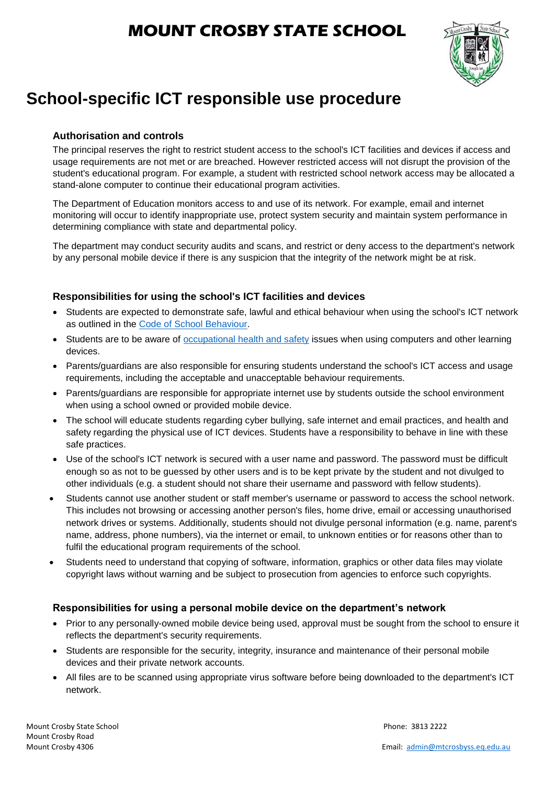## **MOUNT CROSBY STATE SCHOOL**



# **School-specific ICT responsible use procedure**

#### **Authorisation and controls**

The principal reserves the right to restrict student access to the school's ICT facilities and devices if access and usage requirements are not met or are breached. However restricted access will not disrupt the provision of the student's educational program. For example, a student with restricted school network access may be allocated a stand-alone computer to continue their educational program activities.

The Department of Education monitors access to and use of its network. For example, email and internet monitoring will occur to identify inappropriate use, protect system security and maintain system performance in determining compliance with state and departmental policy.

The department may conduct security audits and scans, and restrict or deny access to the department's network by any personal mobile device if there is any suspicion that the integrity of the network might be at risk.

#### **Responsibilities for using the school's ICT facilities and devices**

- Students are expected to demonstrate safe, lawful and ethical behaviour when using the school's ICT network as outlined in the [Code of School Behaviour.](http://behaviour.education.qld.gov.au/disciplinary-decisions/code-school-behaviour/Pages/default.aspx)
- Students are to be aware of **occupational health and safety** issues when using computers and other learning devices.
- Parents/guardians are also responsible for ensuring students understand the school's ICT access and usage requirements, including the acceptable and unacceptable behaviour requirements.
- Parents/guardians are responsible for appropriate internet use by students outside the school environment when using a school owned or provided mobile device.
- The school will educate students regarding cyber bullying, safe internet and email practices, and health and safety regarding the physical use of ICT devices. Students have a responsibility to behave in line with these safe practices.
- Use of the school's ICT network is secured with a user name and password. The password must be difficult enough so as not to be guessed by other users and is to be kept private by the student and not divulged to other individuals (e.g. a student should not share their username and password with fellow students).
- Students cannot use another student or staff member's username or password to access the school network. This includes not browsing or accessing another person's files, home drive, email or accessing unauthorised network drives or systems. Additionally, students should not divulge personal information (e.g. name, parent's name, address, phone numbers), via the internet or email, to unknown entities or for reasons other than to fulfil the educational program requirements of the school.
- Students need to understand that copying of software, information, graphics or other data files may violate copyright laws without warning and be subject to prosecution from agencies to enforce such copyrights.

#### **Responsibilities for using a personal mobile device on the department's network**

- Prior to any personally-owned mobile device being used, approval must be sought from the school to ensure it reflects the department's security requirements.
- Students are responsible for the security, integrity, insurance and maintenance of their personal mobile devices and their private network accounts.
- All files are to be scanned using appropriate virus software before being downloaded to the department's ICT network.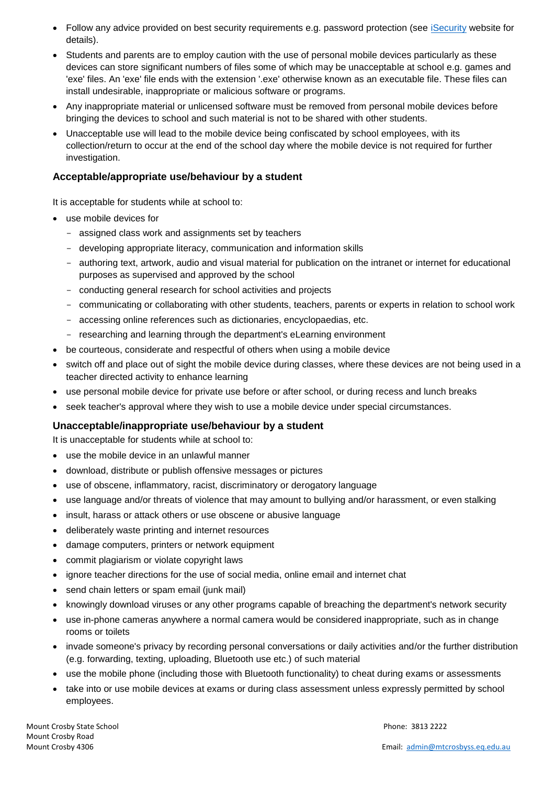- Follow any advice provided on best security requirements e.g. password protection (see [iSecurity](https://isecurity.eq.edu.au/Pages/default.aspx) website for details).
- Students and parents are to employ caution with the use of personal mobile devices particularly as these devices can store significant numbers of files some of which may be unacceptable at school e.g. games and 'exe' files. An 'exe' file ends with the extension '.exe' otherwise known as an executable file. These files can install undesirable, inappropriate or malicious software or programs.
- Any inappropriate material or unlicensed software must be removed from personal mobile devices before bringing the devices to school and such material is not to be shared with other students.
- Unacceptable use will lead to the mobile device being confiscated by school employees, with its collection/return to occur at the end of the school day where the mobile device is not required for further investigation.

#### **Acceptable/appropriate use/behaviour by a student**

It is acceptable for students while at school to:

- use mobile devices for
	- assigned class work and assignments set by teachers
	- developing appropriate literacy, communication and information skills
	- authoring text, artwork, audio and visual material for publication on the intranet or internet for educational purposes as supervised and approved by the school
	- conducting general research for school activities and projects
	- communicating or collaborating with other students, teachers, parents or experts in relation to school work
	- accessing online references such as dictionaries, encyclopaedias, etc.
	- researching and learning through the department's eLearning environment
- be courteous, considerate and respectful of others when using a mobile device
- switch off and place out of sight the mobile device during classes, where these devices are not being used in a teacher directed activity to enhance learning
- use personal mobile device for private use before or after school, or during recess and lunch breaks
- seek teacher's approval where they wish to use a mobile device under special circumstances.

#### **Unacceptable/inappropriate use/behaviour by a student**

It is unacceptable for students while at school to:

- use the mobile device in an unlawful manner
- download, distribute or publish offensive messages or pictures
- use of obscene, inflammatory, racist, discriminatory or derogatory language
- use language and/or threats of violence that may amount to bullying and/or harassment, or even stalking
- insult, harass or attack others or use obscene or abusive language
- deliberately waste printing and internet resources
- damage computers, printers or network equipment
- commit plagiarism or violate copyright laws
- ignore teacher directions for the use of social media, online email and internet chat
- send chain letters or spam email (junk mail)
- knowingly download viruses or any other programs capable of breaching the department's network security
- use in-phone cameras anywhere a normal camera would be considered inappropriate, such as in change rooms or toilets
- invade someone's privacy by recording personal conversations or daily activities and/or the further distribution (e.g. forwarding, texting, uploading, Bluetooth use etc.) of such material
- use the mobile phone (including those with Bluetooth functionality) to cheat during exams or assessments
- take into or use mobile devices at exams or during class assessment unless expressly permitted by school employees.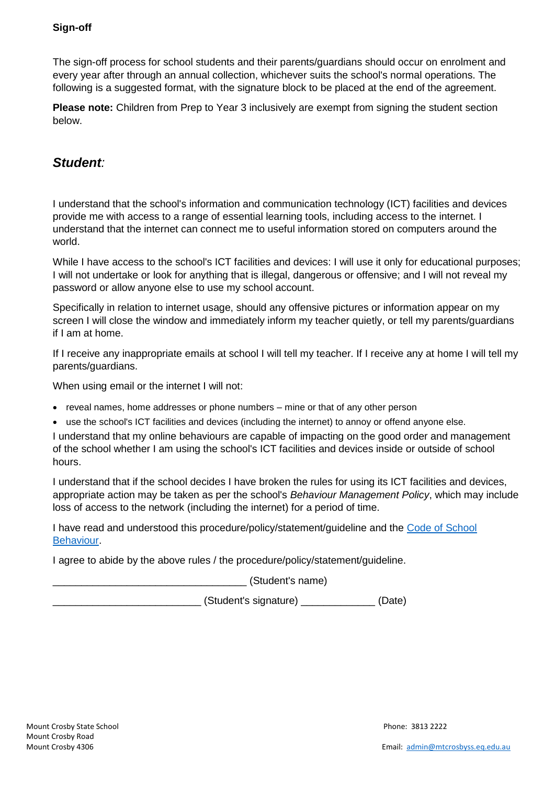#### **Sign-off**

The sign-off process for school students and their parents/guardians should occur on enrolment and every year after through an annual collection, whichever suits the school's normal operations. The following is a suggested format, with the signature block to be placed at the end of the agreement.

**Please note:** Children from Prep to Year 3 inclusively are exempt from signing the student section below.

### *Student:*

I understand that the school's information and communication technology (ICT) facilities and devices provide me with access to a range of essential learning tools, including access to the internet. I understand that the internet can connect me to useful information stored on computers around the world.

While I have access to the school's ICT facilities and devices: I will use it only for educational purposes; I will not undertake or look for anything that is illegal, dangerous or offensive; and I will not reveal my password or allow anyone else to use my school account.

Specifically in relation to internet usage, should any offensive pictures or information appear on my screen I will close the window and immediately inform my teacher quietly, or tell my parents/guardians if I am at home.

If I receive any inappropriate emails at school I will tell my teacher. If I receive any at home I will tell my parents/guardians.

When using email or the internet I will not:

- reveal names, home addresses or phone numbers mine or that of any other person
- use the school's ICT facilities and devices (including the internet) to annoy or offend anyone else.

I understand that my online behaviours are capable of impacting on the good order and management of the school whether I am using the school's ICT facilities and devices inside or outside of school hours.

I understand that if the school decides I have broken the rules for using its ICT facilities and devices, appropriate action may be taken as per the school's *Behaviour Management Policy*, which may include loss of access to the network (including the internet) for a period of time.

I have read and understood this procedure/policy/statement/guideline and the [Code of School](http://behaviour.education.qld.gov.au/disciplinary-decisions/code-school-behaviour/Pages/default.aspx)  [Behaviour.](http://behaviour.education.qld.gov.au/disciplinary-decisions/code-school-behaviour/Pages/default.aspx)

I agree to abide by the above rules / the procedure/policy/statement/guideline.

\_\_\_\_\_\_\_\_\_\_\_\_\_\_\_\_\_\_\_\_\_\_\_\_\_\_\_\_\_\_\_\_\_\_ (Student's name)

\_\_\_\_\_\_\_\_\_\_\_\_\_\_\_\_\_\_\_\_\_\_\_\_\_\_ (Student's signature) \_\_\_\_\_\_\_\_\_\_\_\_\_ (Date)